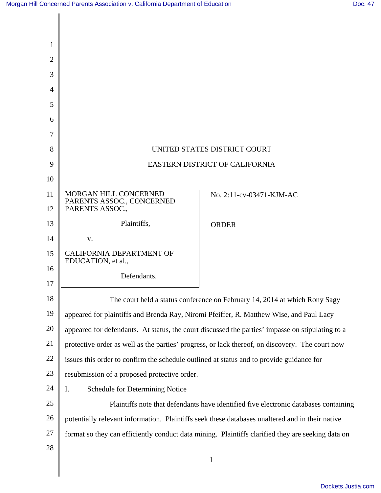| 1              |                                                                                                   |                                                                                                  |
|----------------|---------------------------------------------------------------------------------------------------|--------------------------------------------------------------------------------------------------|
| $\overline{2}$ |                                                                                                   |                                                                                                  |
| 3              |                                                                                                   |                                                                                                  |
| $\overline{4}$ |                                                                                                   |                                                                                                  |
| 5              |                                                                                                   |                                                                                                  |
| 6              |                                                                                                   |                                                                                                  |
| 7              |                                                                                                   |                                                                                                  |
| 8              | UNITED STATES DISTRICT COURT                                                                      |                                                                                                  |
| 9              | EASTERN DISTRICT OF CALIFORNIA                                                                    |                                                                                                  |
| 10             |                                                                                                   |                                                                                                  |
| 11             | MORGAN HILL CONCERNED<br>PARENTS ASSOC., CONCERNED                                                | No. 2:11-cv-03471-KJM-AC                                                                         |
| 12             | PARENTS ASSOC.,                                                                                   |                                                                                                  |
| 13             | Plaintiffs,                                                                                       | <b>ORDER</b>                                                                                     |
| 14             | V.                                                                                                |                                                                                                  |
| 15             | <b>CALIFORNIA DEPARTMENT OF</b><br>EDUCATION, et al.,                                             |                                                                                                  |
| 16             | Defendants.                                                                                       |                                                                                                  |
| 17             |                                                                                                   |                                                                                                  |
| 18             |                                                                                                   | The court held a status conference on February 14, 2014 at which Rony Sagy                       |
| 19             |                                                                                                   | appeared for plaintiffs and Brenda Ray, Niromi Pfeiffer, R. Matthew Wise, and Paul Lacy          |
| 20             |                                                                                                   | appeared for defendants. At status, the court discussed the parties' impasse on stipulating to a |
| 21             | protective order as well as the parties' progress, or lack thereof, on discovery. The court now   |                                                                                                  |
| 22             | issues this order to confirm the schedule outlined at status and to provide guidance for          |                                                                                                  |
| 23             | resubmission of a proposed protective order.                                                      |                                                                                                  |
| 24             | I.<br>Schedule for Determining Notice                                                             |                                                                                                  |
| 25             |                                                                                                   | Plaintiffs note that defendants have identified five electronic databases containing             |
| 26             |                                                                                                   | potentially relevant information. Plaintiffs seek these databases unaltered and in their native  |
| 27             | format so they can efficiently conduct data mining. Plaintiffs clarified they are seeking data on |                                                                                                  |
| 28             |                                                                                                   |                                                                                                  |
|                |                                                                                                   | $\mathbf{1}$                                                                                     |
|                |                                                                                                   |                                                                                                  |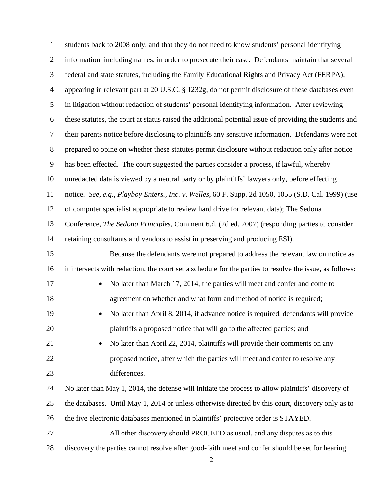| $\mathbf{1}$   | students back to 2008 only, and that they do not need to know students' personal identifying                    |
|----------------|-----------------------------------------------------------------------------------------------------------------|
| $\overline{2}$ | information, including names, in order to prosecute their case. Defendants maintain that several                |
| $\mathfrak{Z}$ | federal and state statutes, including the Family Educational Rights and Privacy Act (FERPA),                    |
| $\overline{4}$ | appearing in relevant part at 20 U.S.C. § 1232g, do not permit disclosure of these databases even               |
| 5              | in litigation without redaction of students' personal identifying information. After reviewing                  |
| 6              | these statutes, the court at status raised the additional potential issue of providing the students and         |
| $\tau$         | their parents notice before disclosing to plaintiffs any sensitive information. Defendants were not             |
| $8\phantom{.}$ | prepared to opine on whether these statutes permit disclosure without redaction only after notice               |
| 9              | has been effected. The court suggested the parties consider a process, if lawful, whereby                       |
| 10             | unredacted data is viewed by a neutral party or by plaintiffs' lawyers only, before effecting                   |
| 11             | notice. See, e.g., Playboy Enters., Inc. v. Welles, 60 F. Supp. 2d 1050, 1055 (S.D. Cal. 1999) (use             |
| 12             | of computer specialist appropriate to review hard drive for relevant data); The Sedona                          |
| 13             | Conference, The Sedona Principles, Comment 6.d. (2d ed. 2007) (responding parties to consider                   |
| 14             | retaining consultants and vendors to assist in preserving and producing ESI).                                   |
| 15             | Because the defendants were not prepared to address the relevant law on notice as                               |
| 16             | it intersects with redaction, the court set a schedule for the parties to resolve the issue, as follows:        |
| 17             | No later than March 17, 2014, the parties will meet and confer and come to                                      |
| 18             | agreement on whether and what form and method of notice is required;                                            |
| 19             | No later than April 8, 2014, if advance notice is required, defendants will provide                             |
| 20             | plaintiffs a proposed notice that will go to the affected parties; and                                          |
| 21             | No later than April 22, 2014, plaintiffs will provide their comments on any                                     |
| 22             | proposed notice, after which the parties will meet and confer to resolve any                                    |
| 23             | differences.                                                                                                    |
| 24             | No later than May 1, 2014, the defense will initiate the process to allow plaintiffs' discovery of              |
| 25             | the databases. Until May 1, 2014 or unless otherwise directed by this court, discovery only as to               |
| 26             | the five electronic databases mentioned in plaintiffs' protective order is STAYED.                              |
| 27             | All other discovery should PROCEED as usual, and any disputes as to this                                        |
| 28             | discovery the parties cannot resolve after good-faith meet and confer should be set for hearing<br>$\mathbf{2}$ |

║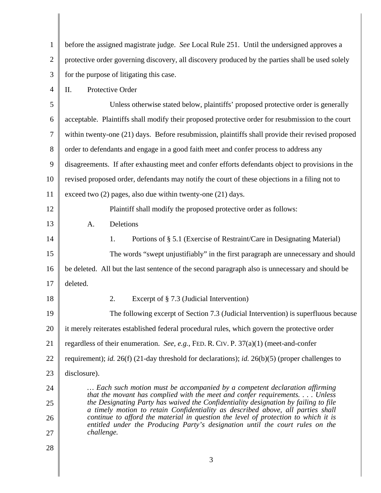| $\mathbf{1}$   | before the assigned magistrate judge. See Local Rule 251. Until the undersigned approves a                                                                                                                                                                                                                                                                                                                                          |  |  |
|----------------|-------------------------------------------------------------------------------------------------------------------------------------------------------------------------------------------------------------------------------------------------------------------------------------------------------------------------------------------------------------------------------------------------------------------------------------|--|--|
| $\overline{2}$ | protective order governing discovery, all discovery produced by the parties shall be used solely                                                                                                                                                                                                                                                                                                                                    |  |  |
| 3              | for the purpose of litigating this case.                                                                                                                                                                                                                                                                                                                                                                                            |  |  |
| 4              | Protective Order<br>Π.                                                                                                                                                                                                                                                                                                                                                                                                              |  |  |
| 5              | Unless otherwise stated below, plaintiffs' proposed protective order is generally                                                                                                                                                                                                                                                                                                                                                   |  |  |
| 6              | acceptable. Plaintiffs shall modify their proposed protective order for resubmission to the court                                                                                                                                                                                                                                                                                                                                   |  |  |
| 7              | within twenty-one (21) days. Before resubmission, plaintiffs shall provide their revised proposed                                                                                                                                                                                                                                                                                                                                   |  |  |
| 8              | order to defendants and engage in a good faith meet and confer process to address any                                                                                                                                                                                                                                                                                                                                               |  |  |
| 9              | disagreements. If after exhausting meet and confer efforts defendants object to provisions in the                                                                                                                                                                                                                                                                                                                                   |  |  |
| 10             | revised proposed order, defendants may notify the court of these objections in a filing not to                                                                                                                                                                                                                                                                                                                                      |  |  |
| 11             | exceed two $(2)$ pages, also due within twenty-one $(21)$ days.                                                                                                                                                                                                                                                                                                                                                                     |  |  |
| 12             | Plaintiff shall modify the proposed protective order as follows:                                                                                                                                                                                                                                                                                                                                                                    |  |  |
| 13             | Deletions<br>A.                                                                                                                                                                                                                                                                                                                                                                                                                     |  |  |
| 14             | 1.<br>Portions of § 5.1 (Exercise of Restraint/Care in Designating Material)                                                                                                                                                                                                                                                                                                                                                        |  |  |
| 15             | The words "swept unjustifiably" in the first paragraph are unnecessary and should                                                                                                                                                                                                                                                                                                                                                   |  |  |
| 16             | be deleted. All but the last sentence of the second paragraph also is unnecessary and should be                                                                                                                                                                                                                                                                                                                                     |  |  |
| 17             | deleted.                                                                                                                                                                                                                                                                                                                                                                                                                            |  |  |
| 18             | 2.<br>Excerpt of $\S$ 7.3 (Judicial Intervention)                                                                                                                                                                                                                                                                                                                                                                                   |  |  |
| 19             | The following excerpt of Section 7.3 (Judicial Intervention) is superfluous because                                                                                                                                                                                                                                                                                                                                                 |  |  |
| 20             | it merely reiterates established federal procedural rules, which govern the protective order                                                                                                                                                                                                                                                                                                                                        |  |  |
| 21             | regardless of their enumeration. See, e.g., FED. R. CIV. P. $37(a)(1)$ (meet-and-confer                                                                                                                                                                                                                                                                                                                                             |  |  |
| 22             | requirement); id. 26(f) (21-day threshold for declarations); id. 26(b)(5) (proper challenges to                                                                                                                                                                                                                                                                                                                                     |  |  |
| 23             | disclosure).                                                                                                                                                                                                                                                                                                                                                                                                                        |  |  |
| 24             | Each such motion must be accompanied by a competent declaration affirming                                                                                                                                                                                                                                                                                                                                                           |  |  |
| 25             | that the movant has complied with the meet and confer requirements. $\dots$ Unless<br>the Designating Party has waived the Confidentiality designation by failing to file<br>a timely motion to retain Confidentiality as described above, all parties shall<br>continue to afford the material in question the level of protection to which it is<br>entitled under the Producing Party's designation until the court rules on the |  |  |
| 26             |                                                                                                                                                                                                                                                                                                                                                                                                                                     |  |  |
| 27             | challenge.                                                                                                                                                                                                                                                                                                                                                                                                                          |  |  |
| 28             |                                                                                                                                                                                                                                                                                                                                                                                                                                     |  |  |
|                | 3                                                                                                                                                                                                                                                                                                                                                                                                                                   |  |  |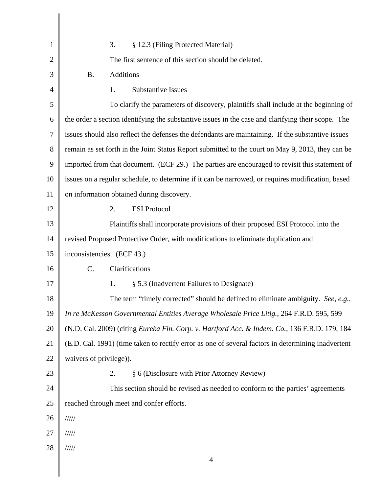| 1              | 3.<br>§ 12.3 (Filing Protected Material)                                                           |  |
|----------------|----------------------------------------------------------------------------------------------------|--|
| $\overline{2}$ | The first sentence of this section should be deleted.                                              |  |
| 3              | <b>B.</b><br><b>Additions</b>                                                                      |  |
| 4              | <b>Substantive Issues</b><br>1.                                                                    |  |
| 5              | To clarify the parameters of discovery, plaintiffs shall include at the beginning of               |  |
| 6              | the order a section identifying the substantive issues in the case and clarifying their scope. The |  |
| 7              | issues should also reflect the defenses the defendants are maintaining. If the substantive issues  |  |
| 8              | remain as set forth in the Joint Status Report submitted to the court on May 9, 2013, they can be  |  |
| 9              | imported from that document. (ECF 29.) The parties are encouraged to revisit this statement of     |  |
| 10             | issues on a regular schedule, to determine if it can be narrowed, or requires modification, based  |  |
| 11             | on information obtained during discovery.                                                          |  |
| 12             | 2.<br><b>ESI Protocol</b>                                                                          |  |
| 13             | Plaintiffs shall incorporate provisions of their proposed ESI Protocol into the                    |  |
| 14             | revised Proposed Protective Order, with modifications to eliminate duplication and                 |  |
| 15             | inconsistencies. (ECF 43.)                                                                         |  |
| 16             | C.<br>Clarifications                                                                               |  |
| 17             | 1.<br>§ 5.3 (Inadvertent Failures to Designate)                                                    |  |
| 18             | The term "timely corrected" should be defined to eliminate ambiguity. See, e.g.,                   |  |
| 19             | In re McKesson Governmental Entities Average Wholesale Price Litig., 264 F.R.D. 595, 599           |  |
| 20             | (N.D. Cal. 2009) (citing Eureka Fin. Corp. v. Hartford Acc. & Indem. Co., 136 F.R.D. 179, 184      |  |
| 21             | (E.D. Cal. 1991) (time taken to rectify error as one of several factors in determining inadvertent |  |
| 22             | waivers of privilege)).                                                                            |  |
| 23             | § 6 (Disclosure with Prior Attorney Review)<br>2.                                                  |  |
| 24             | This section should be revised as needed to conform to the parties' agreements                     |  |
| 25             | reached through meet and confer efforts.                                                           |  |
| 26             | 11111                                                                                              |  |
| 27             | 11111                                                                                              |  |
| 28             | 11111                                                                                              |  |
|                | $\overline{4}$                                                                                     |  |

 $\parallel$